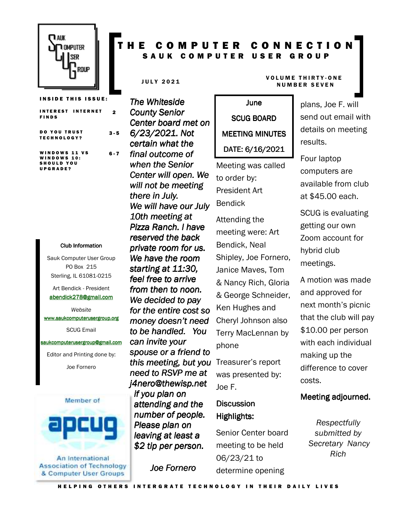

**INSIDE THIS ISSUE: INTEREST INTERNET** F I N D S 2 DO YOU TRUST T E C H N O L O G Y ? 3 - 5 WINDOWS 11 VS **WINDOWS 10:** SHOULD YOU U P G R A D E ?  $6 - 7$ 

#### Club Information Club Information

Sauk Computer User Group PO Box 215 Sterling, IL 61081-0215

Art Bendick - President abendick278@gmail.com

*Website*  www.saukcomputerusergroup.org

SCUG Email

#### saukcomputerusergroup@gmail.com

Editor and Printing done by: Joe Fornero



An International **Association of Technology** & Computer User Groups

### COMPUTER CONNECTION SAUK COMPUTER USER GROUP

*The Whiteside County Senior Center board met on 6/23/2021. Not certain what the final outcome of when the Senior Center will open. We will not be meeting*  there in July. *We will have our July 10th meeting at Pizza Ranch. I have reserved the back private room for us. We have the room starting at 11:30, feel free to arrive from then to noon. We decided to pay for the entire cost so money doesn't need to be handled. You can invite your spouse or a friend to this meeting, but you need to RSVP me at j4nero@thewisp.net if you plan on attending and the number of people. Please plan on leaving at least a \$2 tip per person. person.* 

*Joe Fornero* 

#### JULY 2021 VOLUME THIRTY-ONE N U M B E R S E V E N

June SCUG BOARD MEETING MINUTES DATE: 6/16/2021

Meeting was called to order by: President Art Bendick

Attending the meeting were: Art Bendick, Neal Shipley, Joe Fornero, Janice Maves, Tom & Nancy Rich, Gloria & George Schneider, Ken Hughes and Cheryl Johnson also Terry MacLennan by phone

Treasurer's report was presented by: Joe F.

### **Discussion** Highlights: Highlights:

Senior Center board meeting to be held 06/23/21 to determine opening

plans, Joe F. will send out email with details on meeting results.

Four laptop computers are available from club at \$45.00 each.

SCUG is evaluating getting our own Zoom account for hybrid club meetings.

A motion was made and approved for next month's picnic that the club will pay \$10.00 per person with each individual making up the difference to cover costs.

#### Meeting adjourned.

*Respectfully submitted by Secretary Nancy Rich*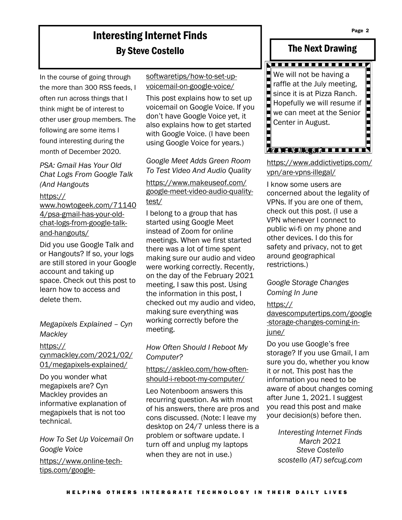# Interesting Internet Finds By Steve Costello

In the course of going through the more than 300 RSS feeds, I often run across things that I think might be of interest to other user group members. The following are some items I found interesting during the month of December 2020.

*PSA: Gmail Has Your Old Chat Logs From Google Talk (And Hangouts*

https://

www.howtogeek.com/71140 4/psa-gmail-has-your-oldchat-logs-from-google-talkand-hangouts/

Did you use Google Talk and or Hangouts? If so, your logs are still stored in your Google account and taking up space. Check out this post to learn how to access and delete them.

*Megapixels Explained – Cyn Mackley*

#### https://

cynmackley.com/2021/02/ 01/megapixels-explained/

Do you wonder what megapixels are? Cyn Mackley provides an informative explanation of megapixels that is not too technical.

*How To Set Up Voicemail On Google Voice*

https://www.online-techtips.com/googlesoftwaretips/how-to-set-upvoicemail-on-google-voice/

This post explains how to set up voicemail on Google Voice. If you don't have Google Voice yet, it also explains how to get started with Google Voice. (I have been using Google Voice for years.)

#### *Google Meet Adds Green Room To Test Video And Audio Quality*

https://www.makeuseof.com/ google-meet-video-audio-qualitytest/

I belong to a group that has started using Google Meet instead of Zoom for online meetings. When we first started there was a lot of time spent making sure our audio and video were working correctly. Recently, on the day of the February 2021 meeting, I saw this post. Using the information in this post, I checked out my audio and video, making sure everything was working correctly before the meeting.

### *How Often Should I Reboot My Computer?*

#### https://askleo.com/how-oftenshould-i-reboot-my-computer/

Leo Notenboom answers this recurring question. As with most of his answers, there are pros and cons discussed. (Note: I leave my desktop on 24/7 unless there is a problem or software update. I turn off and unplug my laptops when they are not in use.)

### The Next Drawing



https://www.addictivetips.com/ vpn/are-vpns-illegal/

I know some users are concerned about the legality of VPNs. If you are one of them, check out this post. (I use a VPN whenever I connect to public wi-fi on my phone and other devices. I do this for safety and privacy, not to get around geographical restrictions.)

#### *Google Storage Changes Coming In June*

#### https://

davescomputertips.com/google -storage-changes-coming-injune/

Do you use Google's free storage? If you use Gmail, I am sure you do, whether you know it or not. This post has the information you need to be aware of about changes coming after June 1, 2021. I suggest you read this post and make your decision(s) before then.

> *Interesting Internet Finds March 2021 Steve Costello scostello (AT) sefcug.com*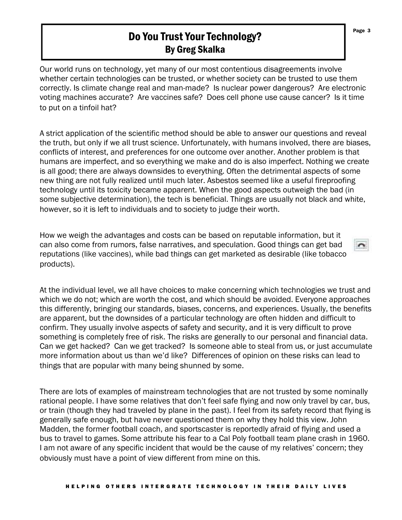## Do You Trust Your Technology? By Greg Skalka

Our world runs on technology, yet many of our most contentious disagreements involve whether certain technologies can be trusted, or whether society can be trusted to use them correctly. Is climate change real and man-made? Is nuclear power dangerous? Are electronic voting machines accurate? Are vaccines safe? Does cell phone use cause cancer? Is it time to put on a tinfoil hat?

A strict application of the scientific method should be able to answer our questions and reveal the truth, but only if we all trust science. Unfortunately, with humans involved, there are biases, conflicts of interest, and preferences for one outcome over another. Another problem is that humans are imperfect, and so everything we make and do is also imperfect. Nothing we create is all good; there are always downsides to everything. Often the detrimental aspects of some new thing are not fully realized until much later. Asbestos seemed like a useful fireproofing technology until its toxicity became apparent. When the good aspects outweigh the bad (in some subjective determination), the tech is beneficial. Things are usually not black and white, however, so it is left to individuals and to society to judge their worth.

How we weigh the advantages and costs can be based on reputable information, but it can also come from rumors, false narratives, and speculation. Good things can get bad reputations (like vaccines), while bad things can get marketed as desirable (like tobacco products).

At the individual level, we all have choices to make concerning which technologies we trust and which we do not; which are worth the cost, and which should be avoided. Everyone approaches this differently, bringing our standards, biases, concerns, and experiences. Usually, the benefits are apparent, but the downsides of a particular technology are often hidden and difficult to confirm. They usually involve aspects of safety and security, and it is very difficult to prove something is completely free of risk. The risks are generally to our personal and financial data. Can we get hacked? Can we get tracked? Is someone able to steal from us, or just accumulate more information about us than we'd like? Differences of opinion on these risks can lead to things that are popular with many being shunned by some.

There are lots of examples of mainstream technologies that are not trusted by some nominally rational people. I have some relatives that don't feel safe flying and now only travel by car, bus, or train (though they had traveled by plane in the past). I feel from its safety record that flying is generally safe enough, but have never questioned them on why they hold this view. John Madden, the former football coach, and sportscaster is reportedly afraid of flying and used a bus to travel to games. Some attribute his fear to a Cal Poly football team plane crash in 1960. I am not aware of any specific incident that would be the cause of my relatives' concern; they obviously must have a point of view different from mine on this.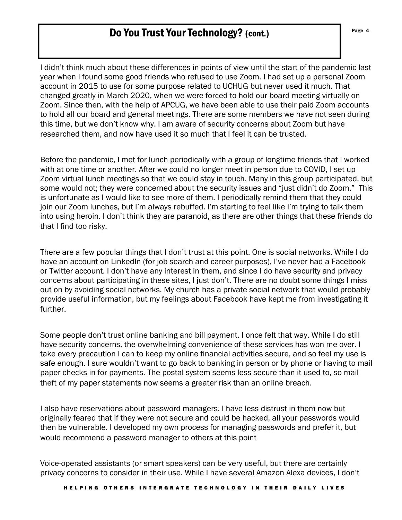## **Do You Trust Your Technology?** (cont.) The Second Second Second Second Second Second Second Second Second Second Second Second Second Second Second Second Second Second Second Second Second Second Second Second Second Sec

I didn't think much about these differences in points of view until the start of the pandemic last year when I found some good friends who refused to use Zoom. I had set up a personal Zoom account in 2015 to use for some purpose related to UCHUG but never used it much. That changed greatly in March 2020, when we were forced to hold our board meeting virtually on Zoom. Since then, with the help of APCUG, we have been able to use their paid Zoom accounts to hold all our board and general meetings. There are some members we have not seen during this time, but we don't know why. I am aware of security concerns about Zoom but have researched them, and now have used it so much that I feel it can be trusted.

Before the pandemic, I met for lunch periodically with a group of longtime friends that I worked with at one time or another. After we could no longer meet in person due to COVID, I set up Zoom virtual lunch meetings so that we could stay in touch. Many in this group participated, but some would not; they were concerned about the security issues and "just didn't do Zoom." This is unfortunate as I would like to see more of them. I periodically remind them that they could join our Zoom lunches, but I'm always rebuffed. I'm starting to feel like I'm trying to talk them into using heroin. I don't think they are paranoid, as there are other things that these friends do that I find too risky.

There are a few popular things that I don't trust at this point. One is social networks. While I do have an account on LinkedIn (for job search and career purposes), I've never had a Facebook or Twitter account. I don't have any interest in them, and since I do have security and privacy concerns about participating in these sites, I just don't. There are no doubt some things I miss out on by avoiding social networks. My church has a private social network that would probably provide useful information, but my feelings about Facebook have kept me from investigating it further.

Some people don't trust online banking and bill payment. I once felt that way. While I do still have security concerns, the overwhelming convenience of these services has won me over. I take every precaution I can to keep my online financial activities secure, and so feel my use is safe enough. I sure wouldn't want to go back to banking in person or by phone or having to mail paper checks in for payments. The postal system seems less secure than it used to, so mail theft of my paper statements now seems a greater risk than an online breach.

I also have reservations about password managers. I have less distrust in them now but originally feared that if they were not secure and could be hacked, all your passwords would then be vulnerable. I developed my own process for managing passwords and prefer it, but would recommend a password manager to others at this point

Voice-operated assistants (or smart speakers) can be very useful, but there are certainly privacy concerns to consider in their use. While I have several Amazon Alexa devices, I don't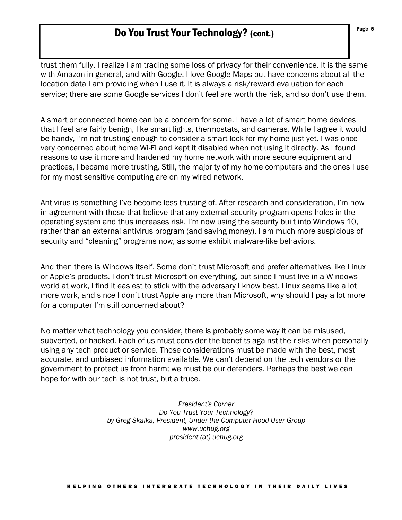# Do You Trust Your Technology? (cont.)

trust them fully. I realize I am trading some loss of privacy for their convenience. It is the same with Amazon in general, and with Google. I love Google Maps but have concerns about all the location data I am providing when I use it. It is always a risk/reward evaluation for each service; there are some Google services I don't feel are worth the risk, and so don't use them.

A smart or connected home can be a concern for some. I have a lot of smart home devices that I feel are fairly benign, like smart lights, thermostats, and cameras. While I agree it would be handy, I'm not trusting enough to consider a smart lock for my home just yet. I was once very concerned about home Wi-Fi and kept it disabled when not using it directly. As I found reasons to use it more and hardened my home network with more secure equipment and practices, I became more trusting. Still, the majority of my home computers and the ones I use for my most sensitive computing are on my wired network.

Antivirus is something I've become less trusting of. After research and consideration, I'm now in agreement with those that believe that any external security program opens holes in the operating system and thus increases risk. I'm now using the security built into Windows 10, rather than an external antivirus program (and saving money). I am much more suspicious of security and "cleaning" programs now, as some exhibit malware-like behaviors.

And then there is Windows itself. Some don't trust Microsoft and prefer alternatives like Linux or Apple's products. I don't trust Microsoft on everything, but since I must live in a Windows world at work, I find it easiest to stick with the adversary I know best. Linux seems like a lot more work, and since I don't trust Apple any more than Microsoft, why should I pay a lot more for a computer I'm still concerned about?

No matter what technology you consider, there is probably some way it can be misused, subverted, or hacked. Each of us must consider the benefits against the risks when personally using any tech product or service. Those considerations must be made with the best, most accurate, and unbiased information available. We can't depend on the tech vendors or the government to protect us from harm; we must be our defenders. Perhaps the best we can hope for with our tech is not trust, but a truce.

> *President's Corner Do You Trust Your Technology? by Greg Skalka, President, Under the Computer Hood User Group www.uchug.org president (at) uchug.org*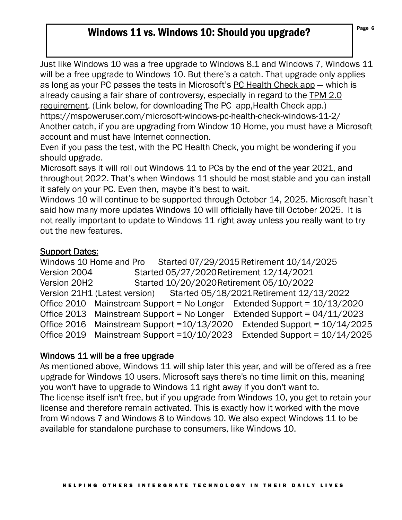## Windows 11 vs. Windows 10: Should you upgrade?

Just like Windows 10 was a free upgrade to Windows 8.1 and Windows 7, Windows 11 will be a free upgrade to Windows 10. But there's a catch. That upgrade only applies as long as your PC passes the tests in Microsoft's PC Health Check app — which is already causing a fair share of controversy, especially in regard to the TPM 2.0 requirement. (Link below, for downloading The PC app,Health Check app.) https://mspoweruser.com/microsoft-windows-pc-health-check-windows-11-2/ Another catch, if you are upgrading from Window 10 Home, you must have a Microsoft account and must have Internet connection.

Even if you pass the test, with the PC Health Check, you might be wondering if you should upgrade.

Microsoft says it will roll out Windows 11 to PCs by the end of the year 2021, and throughout 2022. That's when Windows 11 should be most stable and you can install it safely on your PC. Even then, maybe it's best to wait.

Windows 10 will continue to be supported through October 14, 2025. Microsoft hasn't said how many more updates Windows 10 will officially have till October 2025. It is not really important to update to Windows 11 right away unless you really want to try out the new features.

### **Support Dates:**

Windows 10 Home and Pro Started 07/29/2015 Retirement 10/14/2025 Version 2004 Started 05/27/2020 Retirement 12/14/2021 Version 20H2 Started 10/20/2020 Retirement 05/10/2022 Version 21H1 (Latest version) Started 05/18/2021 Retirement 12/13/2022 Office 2010 Mainstream Support = No Longer Extended Support = 10/13/2020 Office 2013 Mainstream Support = No Longer Extended Support = 04/11/2023 Office 2016 Mainstream Support =10/13/2020 Extended Support = 10/14/2025 Office 2019 Mainstream Support =10/10/2023 Extended Support = 10/14/2025

### Windows 11 will be a free upgrade

As mentioned above, Windows 11 will ship later this year, and will be offered as a free upgrade for Windows 10 users. Microsoft says there's no time limit on this, meaning you won't have to upgrade to Windows 11 right away if you don't want to. The license itself isn't free, but if you upgrade from Windows 10, you get to retain your license and therefore remain activated. This is exactly how it worked with the move from Windows 7 and Windows 8 to Windows 10. We also expect Windows 11 to be available for standalone purchase to consumers, like Windows 10.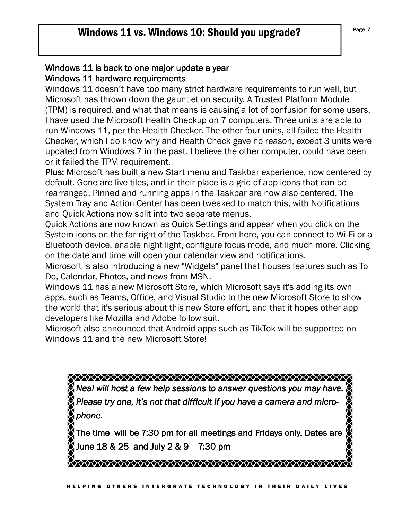### Windows 11 is back to one major update a year Windows 11 hardware requirements

Windows 11 doesn't have too many strict hardware requirements to run well, but Microsoft has thrown down the gauntlet on security. A Trusted Platform Module (TPM) is required, and what that means is causing a lot of confusion for some users. I have used the Microsoft Health Checkup on 7 computers. Three units are able to run Windows 11, per the Health Checker. The other four units, all failed the Health Checker, which I do know why and Health Check gave no reason, except 3 units were updated from Windows 7 in the past. I believe the other computer, could have been or it failed the TPM requirement.

Plus: Microsoft has built a new Start menu and Taskbar experience, now centered by default. Gone are live tiles, and in their place is a grid of app icons that can be rearranged. Pinned and running apps in the Taskbar are now also centered. The System Tray and Action Center has been tweaked to match this, with Notifications and Quick Actions now split into two separate menus.

Quick Actions are now known as Quick Settings and appear when you click on the System icons on the far right of the Taskbar. From here, you can connect to Wi-Fi or a Bluetooth device, enable night light, configure focus mode, and much more. Clicking on the date and time will open your calendar view and notifications.

Microsoft is also introducing a new "Widgets" panel that houses features such as To Do, Calendar, Photos, and news from MSN.

Windows 11 has a new Microsoft Store, which Microsoft says it's adding its own apps, such as Teams, Office, and Visual Studio to the new Microsoft Store to show the world that it's serious about this new Store effort, and that it hopes other app developers like Mozilla and Adobe follow suit.

Microsoft also announced that Android apps such as TikTok will be supported on Windows 11 and the new Microsoft Store!

*Neal will host a few help sessions to answer questions you may have. Please try one, it's not that difficult if you have a camera and microphone.*<br>*phone.* The time will be 7:30 pm for all meetings and Fridays only. Dates are June  $18 & 25$  and July  $2 & 9$  7:30 pm \*\*\*\*\*\*\*\*\*\*\*\*\*\*\*\*\*\*\*\*\*\*\*\*\*\*\*\*\*\*\*\*\*\*\*\*\*